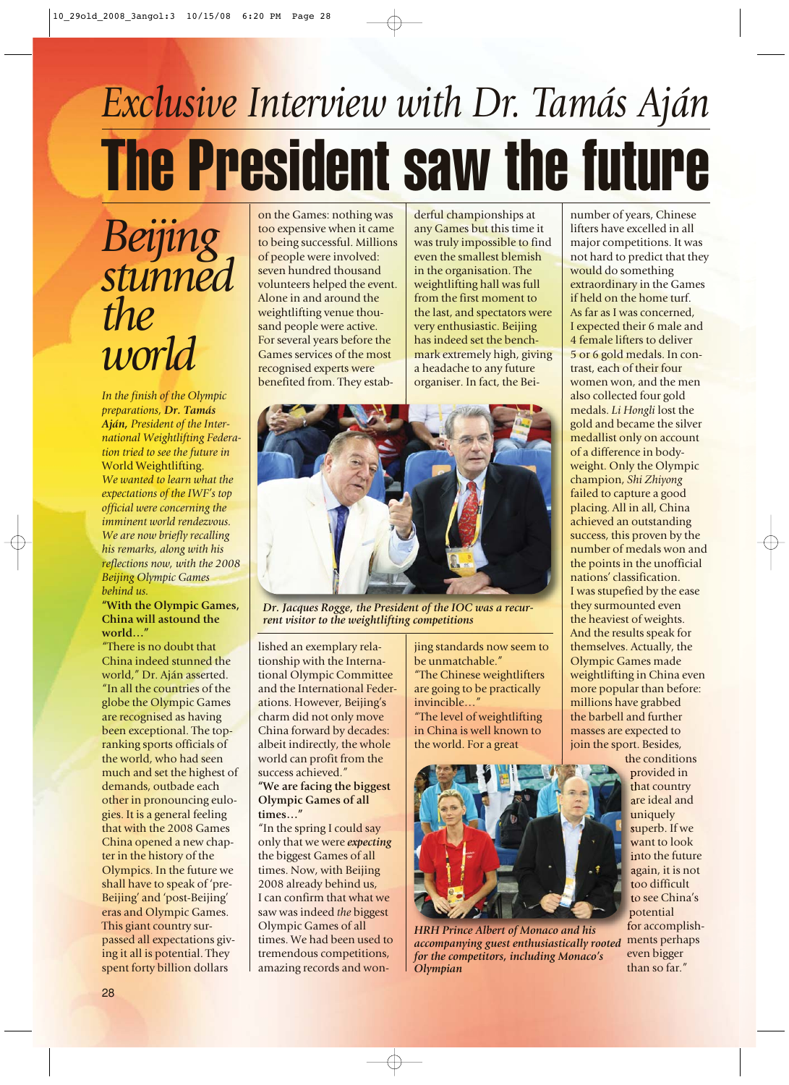## *Exclusive Interview with Dr. Tamás Aján* The President saw the future

*Beijing stunned the world*

*In the finish of the Olympic preparations, Dr. Tamás Aján, President of the International Weightlifting Federation tried to see the future in* World Weightlifting. *We wanted to learn what the expectations of the IWF's top official were concerning the imminent world rendezvous. We are now briefly recalling his remarks, along with his reflections now, with the 2008 Beijing Olympic Games behind us.*

## **"With the Olympic Games, China will astound the world…"**

"There is no doubt that China indeed stunned the world," Dr. Aján asserted. "In all the countries of the globe the Olympic Games are recognised as having been exceptional. The topranking sports officials of the world, who had seen much and set the highest of demands, outbade each other in pronouncing eulogies. It is a general feeling that with the 2008 Games China opened a new chapter in the history of the Olympics. In the future we shall have to speak of 'pre-Beijing' and 'post-Beijing' eras and Olympic Games. This giant country surpassed all expectations giving it all is potential. They spent forty billion dollars

on the Games: nothing was too expensive when it came to being successful. Millions of people were involved: seven hundred thousand volunteers helped the event. Alone in and around the weightlifting venue thousand people were active. For several years before the Games services of the most recognised experts were benefited from. They estabderful championships at any Games but this time it was truly impossible to find even the smallest blemish in the organisation. The weightlifting hall was full from the first moment to the last, and spectators were very enthusiastic. Beijing has indeed set the benchmark extremely high, giving a headache to any future organiser. In fact, the Bei-



*Dr. Jacques Rogge, the President of the IOC was a recurrent visitor to the weightlifting competitions*

lished an exemplary relationship with the International Olympic Committee and the International Federations. However, Beijing's charm did not only move China forward by decades: albeit indirectly, the whole world can profit from the success achieved."

## **"We are facing the biggest Olympic Games of all times…"**

"In the spring I could say only that we were *expecting* the biggest Games of all times. Now, with Beijing 2008 already behind us, I can confirm that what we saw was indeed *the* biggest Olympic Games of all times. We had been used to tremendous competitions, amazing records and wonjing standards now seem to be unmatchable." "The Chinese weightlifters are going to be practically invincible…" "The level of weightlifting

in China is well known to the world. For a great



*HRH Prince Albert of Monaco and his accompanying guest enthusiastically rooted for the competitors, including Monaco's Olympian*

number of years, Chinese lifters have excelled in all major competitions. It was not hard to predict that they would do something extraordinary in the Games if held on the home turf. As far as I was concerned, I expected their 6 male and 4 female lifters to deliver 5 or 6 gold medals. In contrast, each of their four women won, and the men also collected four gold medals. *Li Hongli* lost the gold and became the silver medallist only on account of a difference in bodyweight. Only the Olympic champion, *Shi Zhiyong* failed to capture a good placing. All in all, China achieved an outstanding success, this proven by the number of medals won and the points in the unofficial nations' classification. I was stupefied by the ease they surmounted even the heaviest of weights. And the results speak for themselves. Actually, the Olympic Games made weightlifting in China even more popular than before: millions have grabbed the barbell and further masses are expected to join the sport. Besides,

the conditions provided in that country are ideal and uniquely superb. If we want to look into the future again, it is not too difficult to see China's potential for accomplishments perhaps even bigger than so far."